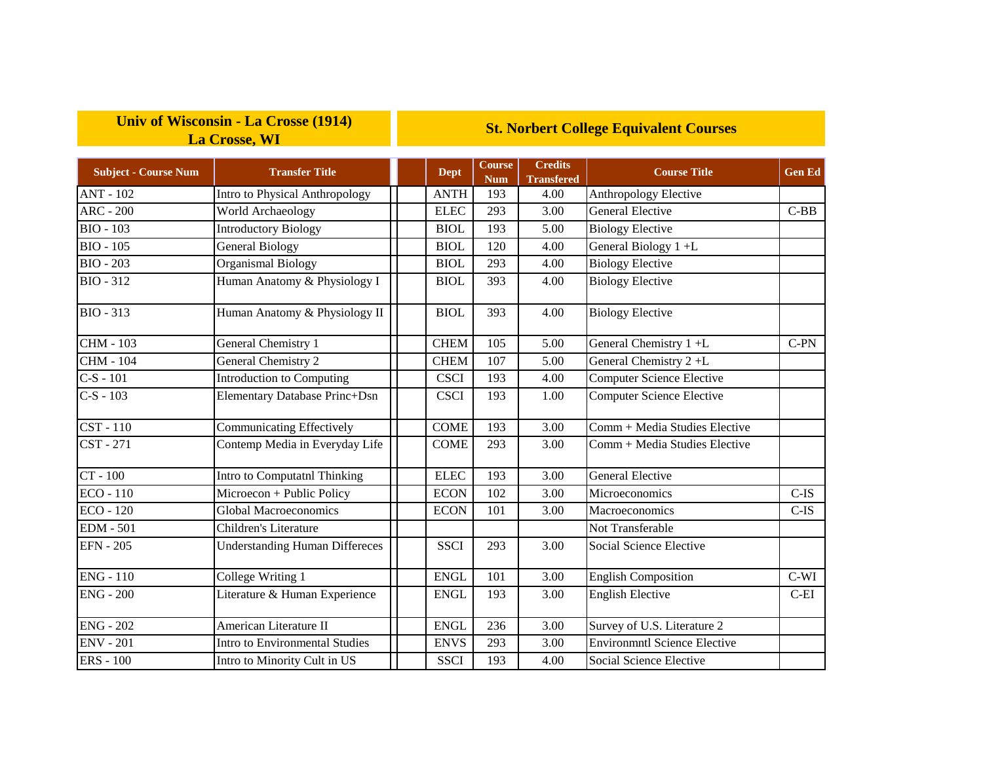## **Univ of Wisconsin - La Crosse (1914) La Crosse, WI**

## **St. Norbert College Equivalent Courses**

| <b>Subject - Course Num</b> | <b>Transfer Title</b>                 | <b>Dept</b> | Course<br><b>Num</b> | <b>Credits</b><br><b>Transfered</b> | <b>Course Title</b>                 | <b>Gen Ed</b> |
|-----------------------------|---------------------------------------|-------------|----------------------|-------------------------------------|-------------------------------------|---------------|
| <b>ANT - 102</b>            | Intro to Physical Anthropology        | <b>ANTH</b> | 193                  | 4.00                                | Anthropology Elective               |               |
| <b>ARC - 200</b>            | World Archaeology                     | <b>ELEC</b> | 293                  | 3.00                                | <b>General Elective</b>             | $C-BB$        |
| <b>BIO - 103</b>            | <b>Introductory Biology</b>           | <b>BIOL</b> | 193                  | 5.00                                | <b>Biology Elective</b>             |               |
| <b>BIO - 105</b>            | <b>General Biology</b>                | <b>BIOL</b> | 120                  | 4.00                                | General Biology 1+L                 |               |
| <b>BIO - 203</b>            | <b>Organismal Biology</b>             | <b>BIOL</b> | 293                  | 4.00                                | <b>Biology Elective</b>             |               |
| <b>BIO - 312</b>            | Human Anatomy & Physiology I          | <b>BIOL</b> | 393                  | 4.00                                | <b>Biology Elective</b>             |               |
| <b>BIO - 313</b>            | Human Anatomy & Physiology II         | <b>BIOL</b> | 393                  | 4.00                                | <b>Biology Elective</b>             |               |
| <b>CHM - 103</b>            | General Chemistry 1                   | <b>CHEM</b> | 105                  | 5.00                                | General Chemistry 1 +L              | $C-PN$        |
| <b>CHM - 104</b>            | General Chemistry 2                   | <b>CHEM</b> | 107                  | 5.00                                | General Chemistry $2 + L$           |               |
| $C-S - 101$                 | Introduction to Computing             | <b>CSCI</b> | 193                  | 4.00                                | <b>Computer Science Elective</b>    |               |
| $C-S - 103$                 | Elementary Database Princ+Dsn         | <b>CSCI</b> | 193                  | 1.00                                | <b>Computer Science Elective</b>    |               |
| CST-110                     | <b>Communicating Effectively</b>      | <b>COME</b> | 193                  | 3.00                                | Comm + Media Studies Elective       |               |
| CST - 271                   | Contemp Media in Everyday Life        | <b>COME</b> | 293                  | 3.00                                | Comm + Media Studies Elective       |               |
| CT - 100                    | Intro to Computatnl Thinking          | <b>ELEC</b> | 193                  | 3.00                                | <b>General Elective</b>             |               |
| $ECO - 110$                 | Microecon + Public Policy             | <b>ECON</b> | 102                  | 3.00                                | Microeconomics                      | $C-IS$        |
| <b>ECO - 120</b>            | <b>Global Macroeconomics</b>          | <b>ECON</b> | 101                  | 3.00                                | Macroeconomics                      | $C$ -IS       |
| <b>EDM</b> - 501            | Children's Literature                 |             |                      |                                     | Not Transferable                    |               |
| <b>EFN - 205</b>            | <b>Understanding Human Differeces</b> | <b>SSCI</b> | 293                  | 3.00                                | Social Science Elective             |               |
| <b>ENG - 110</b>            | College Writing 1                     | <b>ENGL</b> | 101                  | 3.00                                | <b>English Composition</b>          | $C-WI$        |
| <b>ENG - 200</b>            | Literature & Human Experience         | <b>ENGL</b> | 193                  | 3.00                                | <b>English Elective</b>             | $C-EI$        |
| <b>ENG - 202</b>            | American Literature II                | <b>ENGL</b> | 236                  | 3.00                                | Survey of U.S. Literature 2         |               |
| <b>ENV - 201</b>            | <b>Intro to Environmental Studies</b> | <b>ENVS</b> | 293                  | 3.00                                | <b>Environmntl Science Elective</b> |               |
| <b>ERS</b> - 100            | Intro to Minority Cult in US          | <b>SSCI</b> | 193                  | 4.00                                | Social Science Elective             |               |